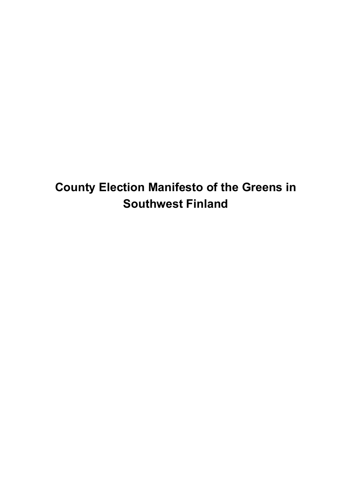# **County Election Manifesto of the Greens in Southwest Finland**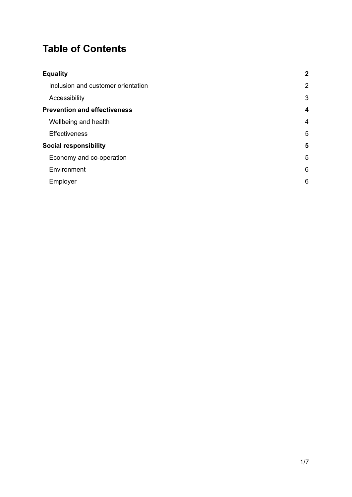### **Table of Contents**

| <b>Equality</b>                     | $\boldsymbol{2}$ |
|-------------------------------------|------------------|
| Inclusion and customer orientation  | $\overline{2}$   |
| Accessibility                       | 3                |
| <b>Prevention and effectiveness</b> | 4                |
| Wellbeing and health                | 4                |
| <b>Effectiveness</b>                | 5                |
| <b>Social responsibility</b>        | 5                |
| Economy and co-operation            | 5                |
| Environment                         | 6                |
| Employer                            | 6                |
|                                     |                  |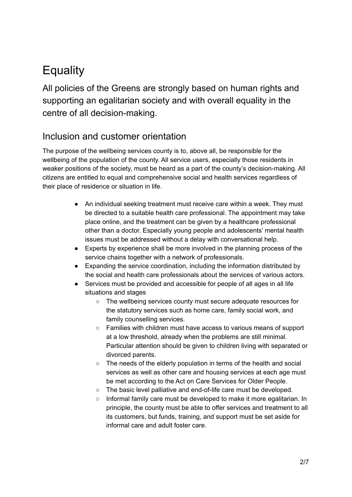## <span id="page-2-0"></span>**Equality**

All policies of the Greens are strongly based on human rights and supporting an egalitarian society and with overall equality in the centre of all decision-making.

#### <span id="page-2-1"></span>Inclusion and customer orientation

The purpose of the wellbeing services county is to, above all, be responsible for the wellbeing of the population of the county. All service users, especially those residents in weaker positions of the society, must be heard as a part of the county's decision-making. All citizens are entitled to equal and comprehensive social and health services regardless of their place of residence or situation in life.

- An individual seeking treatment must receive care within a week. They must be directed to a suitable health care professional. The appointment may take place online, and the treatment can be given by a healthcare professional other than a doctor. Especially young people and adolescents' mental health issues must be addressed without a delay with conversational help.
- Experts by experience shall be more involved in the planning process of the service chains together with a network of professionals.
- Expanding the service coordination, including the information distributed by the social and health care professionals about the services of various actors.
- Services must be provided and accessible for people of all ages in all life situations and stages
	- The wellbeing services county must secure adequate resources for the statutory services such as home care, family social work, and family counselling services.
	- Families with children must have access to various means of support at a low threshold, already when the problems are still minimal. Particular attention should be given to children living with separated or divorced parents.
	- The needs of the elderly population in terms of the health and social services as well as other care and housing services at each age must be met according to the Act on Care Services for Older People.
	- The basic level palliative and end-of-life care must be developed.
	- Informal family care must be developed to make it more egalitarian. In principle, the county must be able to offer services and treatment to all its customers, but funds, training, and support must be set aside for informal care and adult foster care.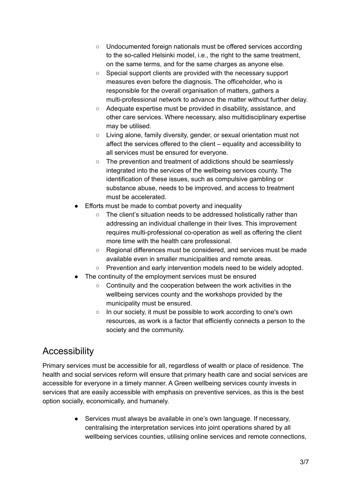- Undocumented foreign nationals must be offered services according to the so-called Helsinki model, i.e., the right to the same treatment, on the same terms, and for the same charges as anyone else.
- Special support clients are provided with the necessary support measures even before the diagnosis. The officeholder, who is responsible for the overall organisation of matters, gathers a multi-professional network to advance the matter without further delay.
- Adequate expertise must be provided in disability, assistance, and other care services. Where necessary, also multidisciplinary expertise may be utilised.
- Living alone, family diversity, gender, or sexual orientation must not affect the services offered to the client – equality and accessibility to all services must be ensured for everyone.
- The prevention and treatment of addictions should be seamlessly integrated into the services of the wellbeing services county. The identification of these issues, such as compulsive gambling or substance abuse, needs to be improved, and access to treatment must be accelerated.
- Efforts must be made to combat poverty and inequality
	- The client's situation needs to be addressed holistically rather than addressing an individual challenge in their lives. This improvement requires multi-professional co-operation as well as offering the client more time with the health care professional.
	- Regional differences must be considered, and services must be made available even in smaller municipalities and remote areas.
	- Prevention and early intervention models need to be widely adopted.
- The continuity of the employment services must be ensured
	- Continuity and the cooperation between the work activities in the wellbeing services county and the workshops provided by the municipality must be ensured.
	- In our society, it must be possible to work according to one's own resources, as work is a factor that efficiently connects a person to the society and the community.

#### <span id="page-3-0"></span>Accessibility

Primary services must be accessible for all, regardless of wealth or place of residence. The health and social services reform will ensure that primary health care and social services are accessible for everyone in a timely manner. A Green wellbeing services county invests in services that are easily accessible with emphasis on preventive services, as this is the best option socially, economically, and humanely.

> ● Services must always be available in one's own language. If necessary, centralising the interpretation services into joint operations shared by all wellbeing services counties, utilising online services and remote connections,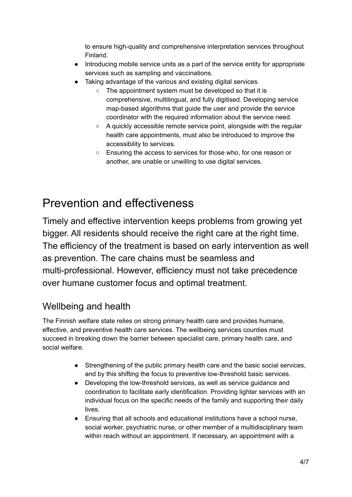to ensure high-quality and comprehensive interpretation services throughout Finland.

- Introducing mobile service units as a part of the service entity for appropriate services such as sampling and vaccinations.
- Taking advantage of the various and existing digital services.
	- The appointment system must be developed so that it is comprehensive, multilingual, and fully digitised. Developing service map-based algorithms that guide the user and provide the service coordinator with the required information about the service need.
	- A quickly accessible remote service point, alongside with the regular health care appointments, must also be introduced to improve the accessibility to services.
	- Ensuring the access to services for those who, for one reason or another, are unable or unwilling to use digital services.

### <span id="page-4-0"></span>Prevention and effectiveness

Timely and effective intervention keeps problems from growing yet bigger. All residents should receive the right care at the right time. The efficiency of the treatment is based on early intervention as well as prevention. The care chains must be seamless and multi-professional. However, efficiency must not take precedence over humane customer focus and optimal treatment.

#### <span id="page-4-1"></span>Wellbeing and health

The Finnish welfare state relies on strong primary health care and provides humane, effective, and preventive health care services. The wellbeing services counties must succeed in breaking down the barrier between specialist care, primary health care, and social welfare.

- Strengthening of the public primary health care and the basic social services, and by this shifting the focus to preventive low-threshold basic services.
- Developing the low-threshold services, as well as service guidance and coordination to facilitate early identification. Providing lighter services with an individual focus on the specific needs of the family and supporting their daily lives.
- Ensuring that all schools and educational institutions have a school nurse, social worker, psychiatric nurse, or other member of a multidisciplinary team within reach without an appointment. If necessary, an appointment with a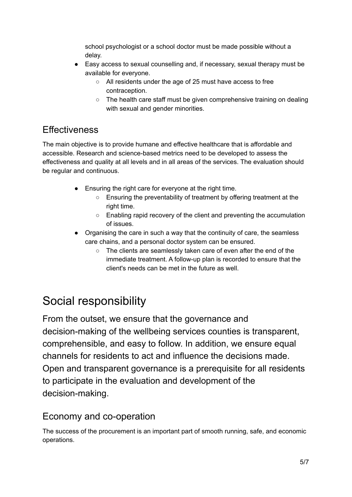school psychologist or a school doctor must be made possible without a delay.

- Easy access to sexual counselling and, if necessary, sexual therapy must be available for everyone.
	- All residents under the age of 25 must have access to free contraception.
	- The health care staff must be given comprehensive training on dealing with sexual and gender minorities.

### <span id="page-5-0"></span>**Effectiveness**

The main objective is to provide humane and effective healthcare that is affordable and accessible. Research and science-based metrics need to be developed to assess the effectiveness and quality at all levels and in all areas of the services. The evaluation should be regular and continuous.

- Ensuring the right care for everyone at the right time.
	- Ensuring the preventability of treatment by offering treatment at the right time.
	- Enabling rapid recovery of the client and preventing the accumulation of issues.
- Organising the care in such a way that the continuity of care, the seamless care chains, and a personal doctor system can be ensured.
	- The clients are seamlessly taken care of even after the end of the immediate treatment. A follow-up plan is recorded to ensure that the client's needs can be met in the future as well.

# <span id="page-5-1"></span>Social responsibility

From the outset, we ensure that the governance and decision-making of the wellbeing services counties is transparent, comprehensible, and easy to follow. In addition, we ensure equal channels for residents to act and influence the decisions made. Open and transparent governance is a prerequisite for all residents to participate in the evaluation and development of the decision-making.

#### <span id="page-5-2"></span>Economy and co-operation

The success of the procurement is an important part of smooth running, safe, and economic operations.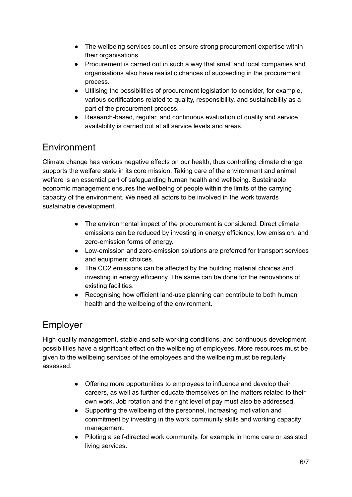- The wellbeing services counties ensure strong procurement expertise within their organisations.
- Procurement is carried out in such a way that small and local companies and organisations also have realistic chances of succeeding in the procurement process.
- Utilising the possibilities of procurement legislation to consider, for example, various certifications related to quality, responsibility, and sustainability as a part of the procurement process.
- Research-based, regular, and continuous evaluation of quality and service availability is carried out at all service levels and areas.

#### <span id="page-6-0"></span>Environment

Climate change has various negative effects on our health, thus controlling climate change supports the welfare state in its core mission. Taking care of the environment and animal welfare is an essential part of safeguarding human health and wellbeing. Sustainable economic management ensures the wellbeing of people within the limits of the carrying capacity of the environment. We need all actors to be involved in the work towards sustainable development.

- The environmental impact of the procurement is considered. Direct climate emissions can be reduced by investing in energy efficiency, low emission, and zero-emission forms of energy.
- Low-emission and zero-emission solutions are preferred for transport services and equipment choices.
- The CO2 emissions can be affected by the building material choices and investing in energy efficiency. The same can be done for the renovations of existing facilities.
- Recognising how efficient land-use planning can contribute to both human health and the wellbeing of the environment.

### <span id="page-6-1"></span>Employer

High-quality management, stable and safe working conditions, and continuous development possibilities have a significant effect on the wellbeing of employees. More resources must be given to the wellbeing services of the employees and the wellbeing must be regularly assessed.

- Offering more opportunities to employees to influence and develop their careers, as well as further educate themselves on the matters related to their own work. Job rotation and the right level of pay must also be addressed.
- Supporting the wellbeing of the personnel, increasing motivation and commitment by investing in the work community skills and working capacity management.
- Piloting a self-directed work community, for example in home care or assisted living services.